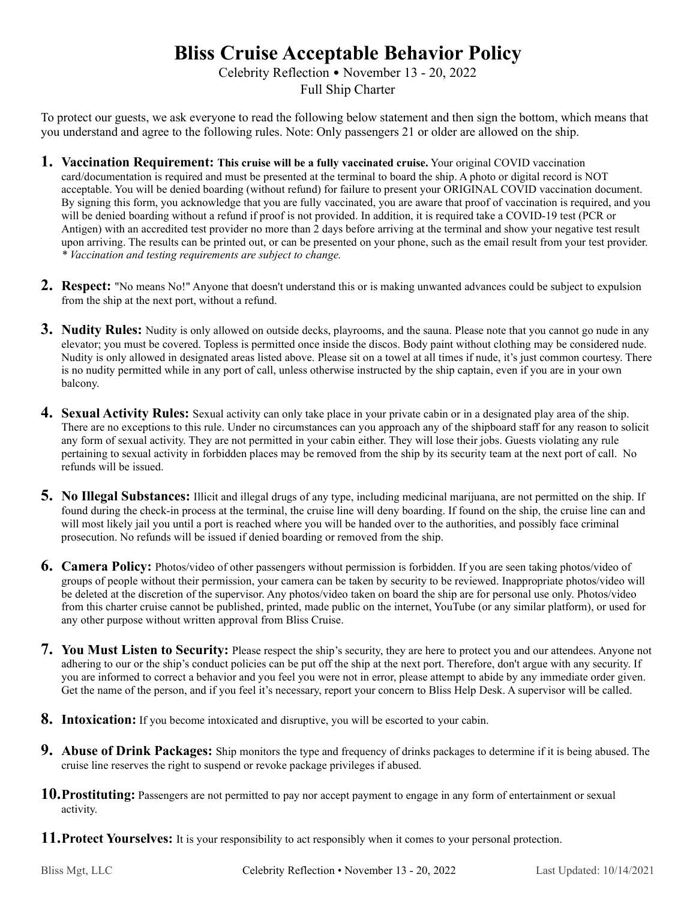## **Bliss Cruise Acceptable Behavior Policy**

Celebrity Reflection • November 13 - 20, 2022 Full Ship Charter

To protect our guests, we ask everyone to read the following below statement and then sign the bottom, which means that you understand and agree to the following rules. Note: Only passengers 21 or older are allowed on the ship.

- **1. Vaccination Requirement: This cruise will be a fully vaccinated cruise.** Your original COVID vaccination card/documentation is required and must be presented at the terminal to board the ship. A photo or digital record is NOT acceptable. You will be denied boarding (without refund) for failure to present your ORIGINAL COVID vaccination document. By signing this form, you acknowledge that you are fully vaccinated, you are aware that proof of vaccination is required, and you will be denied boarding without a refund if proof is not provided. In addition, it is required take a COVID-19 test (PCR or Antigen) with an accredited test provider no more than 2 days before arriving at the terminal and show your negative test result upon arriving. The results can be printed out, or can be presented on your phone, such as the email result from your test provider. *\* Vaccination and testing requirements are subject to change.*
- **2. Respect:** "No means No!" Anyone that doesn't understand this or is making unwanted advances could be subject to expulsion from the ship at the next port, without a refund.
- **3. Nudity Rules:** Nudity is only allowed on outside decks, playrooms, and the sauna. Please note that you cannot go nude in any elevator; you must be covered. Topless is permitted once inside the discos. Body paint without clothing may be considered nude. Nudity is only allowed in designated areas listed above. Please sit on a towel at all times if nude, it's just common courtesy. There is no nudity permitted while in any port of call, unless otherwise instructed by the ship captain, even if you are in your own balcony.
- **4. Sexual Activity Rules:** Sexual activity can only take place in your private cabin or in a designated play area of the ship. There are no exceptions to this rule. Under no circumstances can you approach any of the shipboard staff for any reason to solicit any form of sexual activity. They are not permitted in your cabin either. They will lose their jobs. Guests violating any rule pertaining to sexual activity in forbidden places may be removed from the ship by its security team at the next port of call. No refunds will be issued.
- **5. No Illegal Substances:** Illicit and illegal drugs of any type, including medicinal marijuana, are not permitted on the ship. If found during the check-in process at the terminal, the cruise line will deny boarding. If found on the ship, the cruise line can and will most likely jail you until a port is reached where you will be handed over to the authorities, and possibly face criminal prosecution. No refunds will be issued if denied boarding or removed from the ship.
- **6. Camera Policy:** Photos/video of other passengers without permission is forbidden. If you are seen taking photos/video of groups of people without their permission, your camera can be taken by security to be reviewed. Inappropriate photos/video will be deleted at the discretion of the supervisor. Any photos/video taken on board the ship are for personal use only. Photos/video from this charter cruise cannot be published, printed, made public on the internet, YouTube (or any similar platform), or used for any other purpose without written approval from Bliss Cruise.
- **7. You Must Listen to Security:** Please respect the ship's security, they are here to protect you and our attendees. Anyone not adhering to our or the ship's conduct policies can be put off the ship at the next port. Therefore, don't argue with any security. If you are informed to correct a behavior and you feel you were not in error, please attempt to abide by any immediate order given. Get the name of the person, and if you feel it's necessary, report your concern to Bliss Help Desk. A supervisor will be called.
- **8. Intoxication:** If you become intoxicated and disruptive, you will be escorted to your cabin.
- **9. Abuse of Drink Packages:** Ship monitors the type and frequency of drinks packages to determine if it is being abused. The cruise line reserves the right to suspend or revoke package privileges if abused.
- **10.Prostituting:** Passengers are not permitted to pay nor accept payment to engage in any form of entertainment or sexual activity.
- **11.Protect Yourselves:** It is your responsibility to act responsibly when it comes to your personal protection.